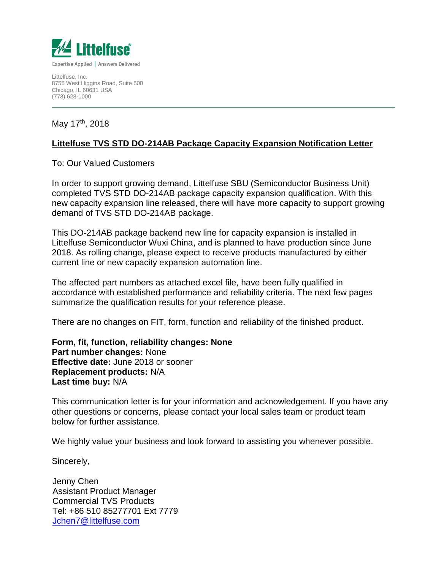

Littelfuse, Inc. 8755 West Higgins Road, Suite 500 Chicago, IL 60631 USA (773) 628-1000

May 17<sup>th</sup>, 2018

#### **Littelfuse TVS STD DO-214AB Package Capacity Expansion Notification Letter**

To: Our Valued Customers

In order to support growing demand, Littelfuse SBU (Semiconductor Business Unit) completed TVS STD DO-214AB package capacity expansion qualification. With this new capacity expansion line released, there will have more capacity to support growing demand of TVS STD DO-214AB package.

This DO-214AB package backend new line for capacity expansion is installed in Littelfuse Semiconductor Wuxi China, and is planned to have production since June 2018. As rolling change, please expect to receive products manufactured by either current line or new capacity expansion automation line.

The affected part numbers as attached excel file, have been fully qualified in accordance with established performance and reliability criteria. The next few pages summarize the qualification results for your reference please.

There are no changes on FIT, form, function and reliability of the finished product.

**Form, fit, function, reliability changes: None Part number changes:** None **Effective date:** June 2018 or sooner **Replacement products:** N/A **Last time buy:** N/A

This communication letter is for your information and acknowledgement. If you have any other questions or concerns, please contact your local sales team or product team below for further assistance.

We highly value your business and look forward to assisting you whenever possible.

Sincerely,

Jchen7@littelfuse.com Jenny Chen Assistant Product Manager Commercial TVS Products Tel: +86 510 85277701 Ext 7779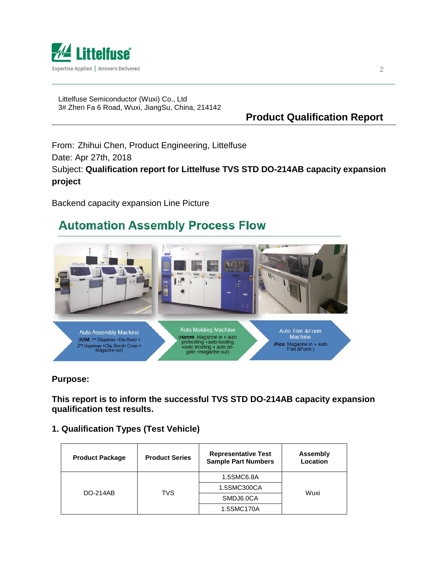

Littelfuse Semiconductor (Wuxi) Co., Ltd 3# Zhen Fa 6 Road, Wuxi, JiangSu, China, 214142

### **Product Qualification Report**

From: Zhihui Chen, Product Engineering, Littelfuse Date: Apr 27th, 2018 Subject: **Qualification report for Littelfuse TVS STD DO-214AB capacity expansion project**

Backend capacity expansion Line Picture

# **Automation Assembly Process Flow**



**Purpose:**

**This report is to inform the successful TVS STD DO-214AB capacity expansion qualification test results.**

#### **1. Qualification Types (Test Vehicle)**

| <b>Product Package</b> | <b>Product Series</b> | <b>Representative Test</b><br><b>Sample Part Numbers</b> | Assembly<br>Location |  |
|------------------------|-----------------------|----------------------------------------------------------|----------------------|--|
| <b>DO-214AB</b>        | TVS                   | 1.5SMC6.8A                                               | Wuxi                 |  |
|                        |                       | 1.5SMC300CA                                              |                      |  |
|                        |                       | SMDJ6.0CA                                                |                      |  |
|                        |                       | 1.5SMC170A                                               |                      |  |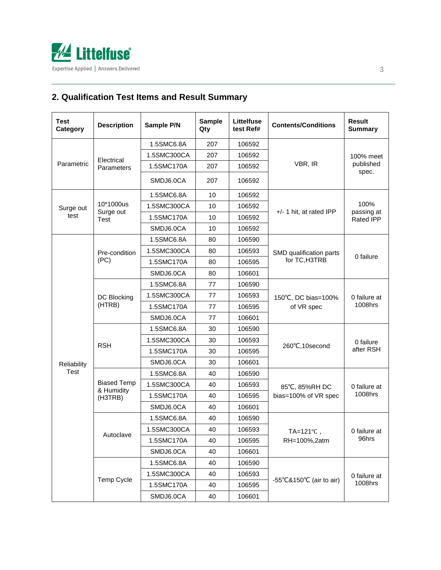

## **2. Qualification Test Items and Result Summary**

| <b>Test</b><br>Category | <b>Description</b>                                                                                                                                                                    | Sample P/N  | <b>Sample</b><br>Qty | Littelfuse<br>test Ref# | <b>Contents/Conditions</b>        | <b>Result</b><br><b>Summary</b>        |
|-------------------------|---------------------------------------------------------------------------------------------------------------------------------------------------------------------------------------|-------------|----------------------|-------------------------|-----------------------------------|----------------------------------------|
|                         |                                                                                                                                                                                       | 1.5SMC6.8A  | 207                  | 106592                  |                                   | 100% meet<br>published<br>spec.        |
| Parametric              | Electrical<br>Parameters                                                                                                                                                              | 1.5SMC300CA | 207                  | 106592                  |                                   |                                        |
|                         |                                                                                                                                                                                       | 1.5SMC170A  | 207                  | 106592                  | VBR, IR                           |                                        |
|                         |                                                                                                                                                                                       | SMDJ6.0CA   | 207                  | 106592                  |                                   |                                        |
|                         |                                                                                                                                                                                       | 1.5SMC6.8A  | 10                   | 106592                  |                                   | 100%<br>passing at<br><b>Rated IPP</b> |
| Surge out<br>test       | 10*1000us<br>Surge out<br><b>Test</b>                                                                                                                                                 | 1.5SMC300CA | 10                   | 106592                  |                                   |                                        |
|                         |                                                                                                                                                                                       | 1.5SMC170A  | 10                   | 106592                  | $+/- 1$ hit, at rated IPP         |                                        |
|                         |                                                                                                                                                                                       | SMDJ6.0CA   | 10                   | 106592                  |                                   |                                        |
|                         |                                                                                                                                                                                       | 1.5SMC6.8A  | 80                   | 106590                  |                                   | 0 failure                              |
|                         | Pre-condition                                                                                                                                                                         | 1.5SMC300CA | 80                   | 106593                  | SMD qualification parts           |                                        |
|                         | (PC)                                                                                                                                                                                  | 1.5SMC170A  | 80                   | 106595                  | for TC, H3TRB                     |                                        |
|                         |                                                                                                                                                                                       | SMDJ6.0CA   | 80                   | 106601                  |                                   |                                        |
|                         | DC Blocking<br>(HTRB)                                                                                                                                                                 | 1.5SMC6.8A  | 77                   | 106590                  | 150°C, DC bias=100%<br>of VR spec | 0 failure at<br>1008hrs                |
|                         |                                                                                                                                                                                       | 1.5SMC300CA | 77                   | 106593                  |                                   |                                        |
|                         |                                                                                                                                                                                       | 1.5SMC170A  | 77                   | 106595                  |                                   |                                        |
|                         |                                                                                                                                                                                       | SMDJ6.0CA   | 77                   | 106601                  |                                   |                                        |
|                         |                                                                                                                                                                                       | 1.5SMC6.8A  | 30                   | 106590                  | 260°C,10second                    | 0 failure<br>after RSH                 |
|                         |                                                                                                                                                                                       | 1.5SMC300CA | 30                   | 106593                  |                                   |                                        |
|                         | <b>RSH</b>                                                                                                                                                                            | 1.5SMC170A  | 30                   | 106595                  |                                   |                                        |
| Reliability             |                                                                                                                                                                                       | SMDJ6.0CA   | 30                   | 106601                  |                                   |                                        |
| <b>Test</b>             | 1.5SMC6.8A<br>40<br>106590<br><b>Biased Temp</b><br>1.5SMC300CA<br>40<br>106593<br>85°C, 85%RH DC<br>& Humidity<br>1.5SMC170A<br>40<br>106595<br>(H3TRB)<br>SMDJ6.0CA<br>40<br>106601 |             |                      |                         |                                   |                                        |
|                         |                                                                                                                                                                                       |             |                      |                         |                                   | 0 failure at<br>1008hrs                |
|                         |                                                                                                                                                                                       |             |                      |                         | bias=100% of VR spec              |                                        |
|                         |                                                                                                                                                                                       |             |                      |                         |                                   |                                        |
|                         | Autoclave                                                                                                                                                                             | 1.5SMC6.8A  | 40                   | 106590                  | , TA=121℃                         | 0 failure at<br>96hrs                  |
|                         |                                                                                                                                                                                       | 1.5SMC300CA | 40                   | 106593                  |                                   |                                        |
|                         |                                                                                                                                                                                       | 1.5SMC170A  | 40                   | 106595                  | RH=100%,2atm                      |                                        |
|                         |                                                                                                                                                                                       | SMDJ6.0CA   | 40                   | 106601                  |                                   |                                        |
|                         | Temp Cycle                                                                                                                                                                            | 1.5SMC6.8A  | 40                   | 106590                  |                                   | 0 failure at<br>1008hrs                |
|                         |                                                                                                                                                                                       | 1.5SMC300CA | 40                   | 106593                  |                                   |                                        |
|                         |                                                                                                                                                                                       | 1.5SMC170A  | 40                   | 106595                  | -55°C&150°C (air to air)          |                                        |
|                         |                                                                                                                                                                                       | SMDJ6.0CA   | 40                   | 106601                  |                                   |                                        |